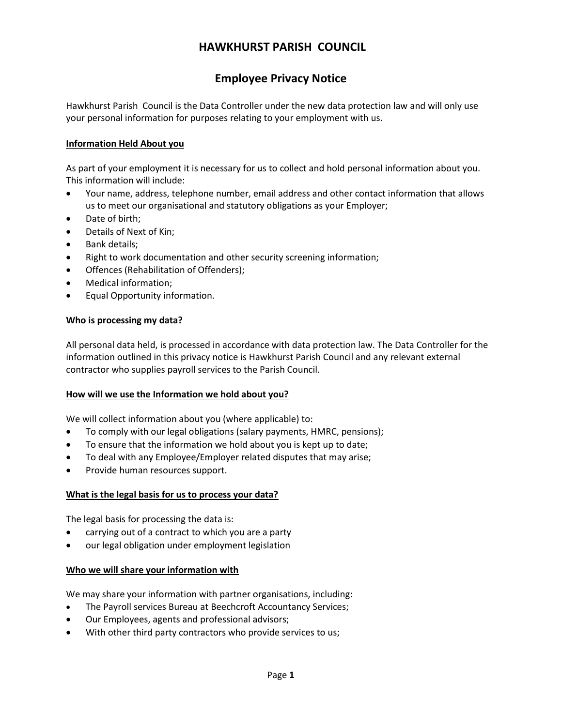# **HAWKHURST PARISH COUNCIL**

# **Employee Privacy Notice**

Hawkhurst Parish Council is the Data Controller under the new data protection law and will only use your personal information for purposes relating to your employment with us.

#### **Information Held About you**

As part of your employment it is necessary for us to collect and hold personal information about you. This information will include:

- Your name, address, telephone number, email address and other contact information that allows us to meet our organisational and statutory obligations as your Employer;
- Date of birth:
- Details of Next of Kin;
- Bank details;
- Right to work documentation and other security screening information;
- Offences (Rehabilitation of Offenders);
- Medical information;
- Equal Opportunity information.

#### **Who is processing my data?**

All personal data held, is processed in accordance with data protection law. The Data Controller for the information outlined in this privacy notice is Hawkhurst Parish Council and any relevant external contractor who supplies payroll services to the Parish Council.

#### **How will we use the Information we hold about you?**

We will collect information about you (where applicable) to:

- To comply with our legal obligations (salary payments, HMRC, pensions);
- To ensure that the information we hold about you is kept up to date;
- To deal with any Employee/Employer related disputes that may arise;
- Provide human resources support.

#### **What is the legal basis for us to process your data?**

The legal basis for processing the data is:

- carrying out of a contract to which you are a party
- our legal obligation under employment legislation

#### **Who we will share your information with**

We may share your information with partner organisations, including:

- The Payroll services Bureau at Beechcroft Accountancy Services;
- Our Employees, agents and professional advisors;
- With other third party contractors who provide services to us;